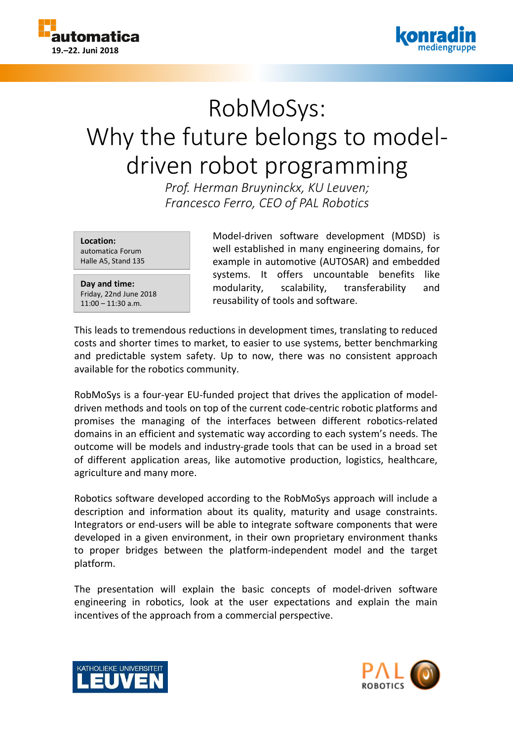



# RobMoSys: Why the future belongs to modeldriven robot programming

*Prof. Herman Bruyninckx, KU Leuven; Francesco Ferro, CEO of PAL Robotics*

**Location:** automatica Forum Halle A5, Stand 135

**Day and time:** Friday, 22nd June 2018 11:00 – 11:30 a.m.

Model-driven software development (MDSD) is well established in many engineering domains, for example in automotive (AUTOSAR) and embedded systems. It offers uncountable benefits like modularity, scalability, transferability and reusability of tools and software.

This leads to tremendous reductions in development times, translating to reduced costs and shorter times to market, to easier to use systems, better benchmarking and predictable system safety. Up to now, there was no consistent approach available for the robotics community.

RobMoSys is a four-year EU-funded project that drives the application of modeldriven methods and tools on top of the current code-centric robotic platforms and promises the managing of the interfaces between different robotics-related domains in an efficient and systematic way according to each system's needs. The outcome will be models and industry-grade tools that can be used in a broad set of different application areas, like automotive production, logistics, healthcare, agriculture and many more.

Robotics software developed according to the RobMoSys approach will include a description and information about its quality, maturity and usage constraints. Integrators or end-users will be able to integrate software components that were developed in a given environment, in their own proprietary environment thanks to proper bridges between the platform-independent model and the target platform.

The presentation will explain the basic concepts of model-driven software engineering in robotics, look at the user expectations and explain the main incentives of the approach from a commercial perspective.



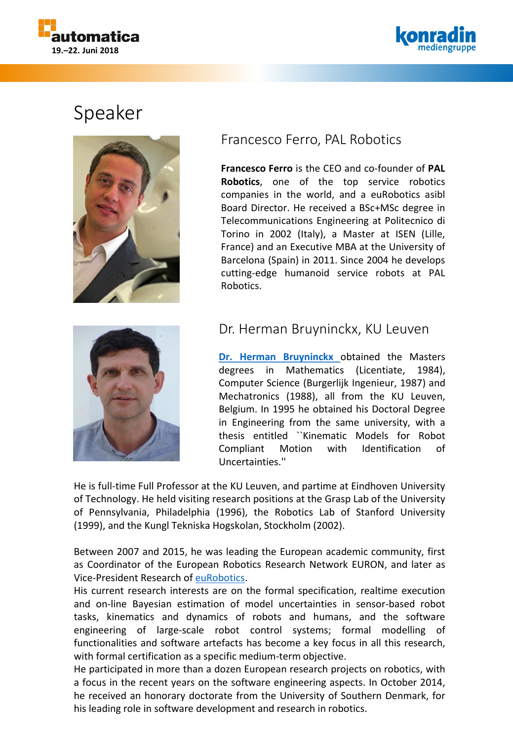



## Speaker



### Francesco Ferro, PAL Robotics

**Francesco Ferro** is the CEO and co-founder of **PAL Robotics**, one of the top service robotics companies in the world, and a euRobotics asibl Board Director. He received a BSc+MSc degree in Telecommunications Engineering at Politecnico di Torino in 2002 (Italy), a Master at ISEN (Lille, France) and an Executive MBA at the University of Barcelona (Spain) in 2011. Since 2004 he develops cutting-edge humanoid service robots at PAL Robotics.



#### Dr. Herman Bruyninckx, KU Leuven

**Dr. Herman [Bruyninckx](http://people.mech.kuleuven.be/~bruyninc/)** obtained the Masters degrees in Mathematics (Licentiate, 1984), Computer Science (Burgerlijk Ingenieur, 1987) and Mechatronics (1988), all from the KU Leuven, Belgium. In 1995 he obtained his Doctoral Degree in Engineering from the same university, with a thesis entitled ``Kinematic Models for Robot Compliant Motion with Identification of Uncertainties.''

He is full-time Full Professor at the KU Leuven, and partime at Eindhoven University of Technology. He held visiting research positions at the Grasp Lab of the University of Pennsylvania, Philadelphia (1996), the Robotics Lab of Stanford University (1999), and the Kungl Tekniska Hogskolan, Stockholm (2002).

Between 2007 and 2015, he was leading the European academic community, first as Coordinator of the European Robotics Research Network EURON, and later as Vice-President Research of [euRobotics.](http://www.eu-robotics.net/)

His current research interests are on the formal specification, realtime execution and on-line Bayesian estimation of model uncertainties in sensor-based robot tasks, kinematics and dynamics of robots and humans, and the software engineering of large-scale robot control systems; formal modelling of functionalities and software artefacts has become a key focus in all this research, with formal certification as a specific medium-term objective.

He participated in more than a dozen European research projects on robotics, with a focus in the recent years on the software engineering aspects. In October 2014, he received an honorary doctorate from the University of Southern Denmark, for his leading role in software development and research in robotics.